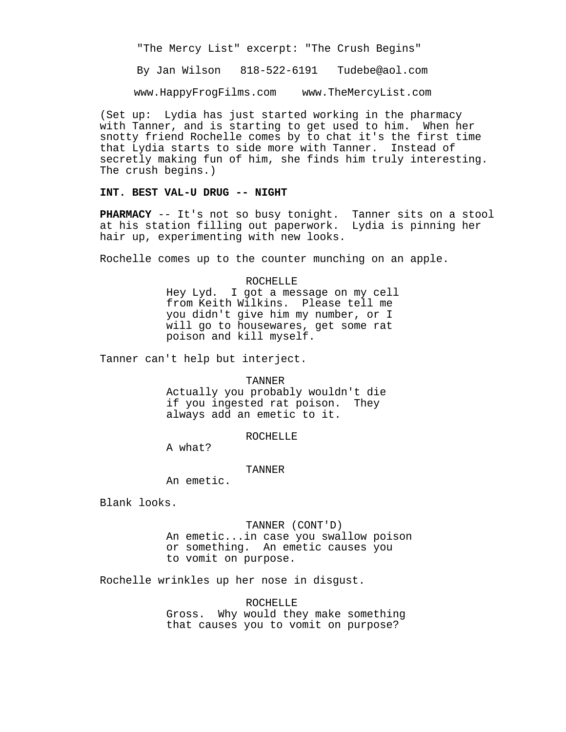"The Mercy List" excerpt: "The Crush Begins"

By Jan Wilson 818-522-6191 Tudebe@aol.com

www.HappyFrogFilms.com www.TheMercyList.com

(Set up: Lydia has just started working in the pharmacy with Tanner, and is starting to get used to him. When her snotty friend Rochelle comes by to chat it's the first time that Lydia starts to side more with Tanner. Instead of secretly making fun of him, she finds him truly interesting. The crush begins.)

# **INT. BEST VAL-U DRUG -- NIGHT**

**PHARMACY** -- It's not so busy tonight. Tanner sits on a stool at his station filling out paperwork. Lydia is pinning her hair up, experimenting with new looks.

Rochelle comes up to the counter munching on an apple.

#### ROCHELLE

Hey Lyd. I got a message on my cell from Keith Wilkins. Please tell me you didn't give him my number, or I will go to housewares, get some rat poison and kill myself.

Tanner can't help but interject.

#### TANNER

Actually you probably wouldn't die if you ingested rat poison. They always add an emetic to it.

# ROCHELLE

A what?

#### TANNER

An emetic.

Blank looks.

## TANNER (CONT'D)

An emetic...in case you swallow poison or something. An emetic causes you to vomit on purpose.

Rochelle wrinkles up her nose in disgust.

ROCHELLE Gross. Why would they make something that causes you to vomit on purpose?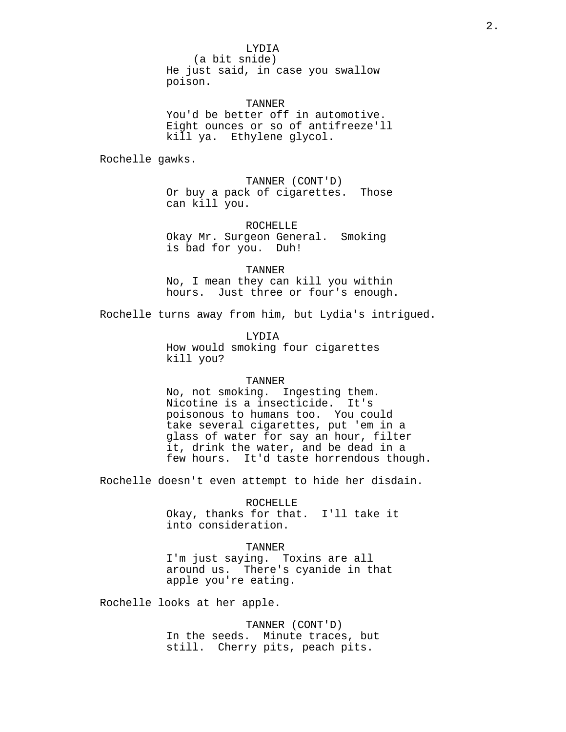(a bit snide) He just said, in case you swallow poison.

TANNER You'd be better off in automotive. Eight ounces or so of antifreeze'll kill ya. Ethylene glycol.

Rochelle gawks.

TANNER (CONT'D) Or buy a pack of cigarettes. Those can kill you.

ROCHELLE Okay Mr. Surgeon General. Smoking is bad for you. Duh!

TANNER No, I mean they can kill you within hours. Just three or four's enough.

Rochelle turns away from him, but Lydia's intrigued.

LYDIA How would smoking four cigarettes kill you?

# TANNER

No, not smoking. Ingesting them. Nicotine is a insecticide. It's poisonous to humans too. You could take several cigarettes, put 'em in a glass of water for say an hour, filter it, drink the water, and be dead in a few hours. It'd taste horrendous though.

Rochelle doesn't even attempt to hide her disdain.

ROCHELLE

Okay, thanks for that. I'll take it into consideration.

TANNER

I'm just saying. Toxins are all around us. There's cyanide in that apple you're eating.

Rochelle looks at her apple.

TANNER (CONT'D) In the seeds. Minute traces, but still. Cherry pits, peach pits.